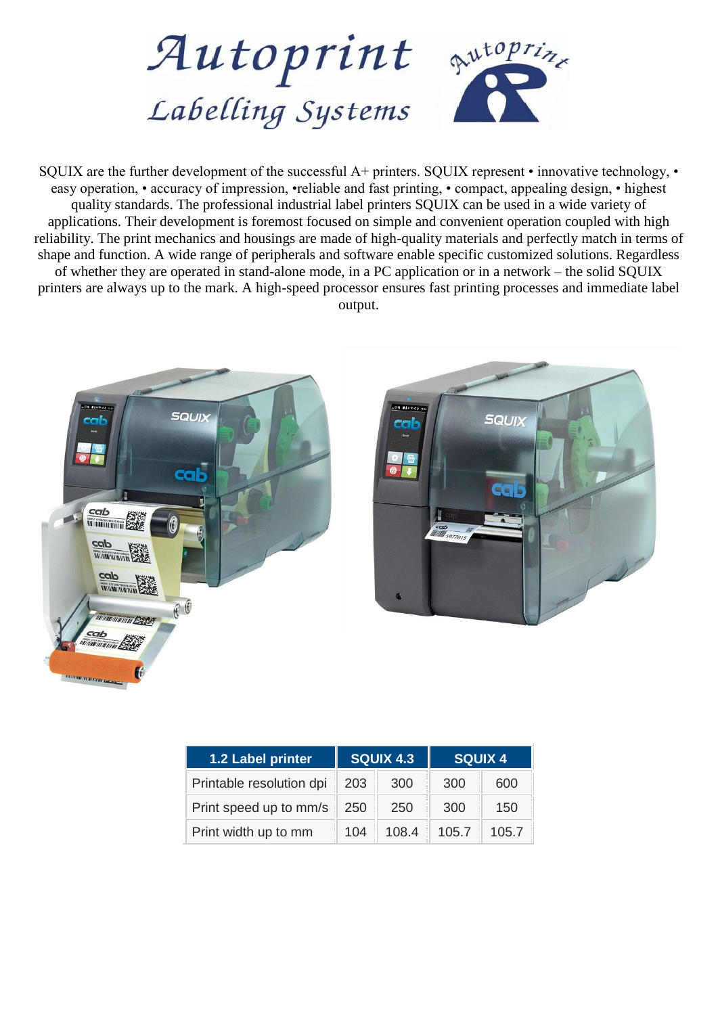

SQUIX are the further development of the successful A+ printers. SQUIX represent • innovative technology, • easy operation, • accuracy of impression, •reliable and fast printing, • compact, appealing design, • highest quality standards. The professional industrial label printers SQUIX can be used in a wide variety of applications. Their development is foremost focused on simple and convenient operation coupled with high reliability. The print mechanics and housings are made of high-quality materials and perfectly match in terms of shape and function. A wide range of peripherals and software enable specific customized solutions. Regardless of whether they are operated in stand-alone mode, in a PC application or in a network – the solid SQUIX printers are always up to the mark. A high-speed processor ensures fast printing processes and immediate label output.





| 1.2 Label printer        | <b>SQUIX 4.3</b> |       | <b>SQUIX 4</b> |       |
|--------------------------|------------------|-------|----------------|-------|
| Printable resolution dpi | 203              | 300   | 300            | 600   |
| Print speed up to mm/s   | 250              | 250   | 300            | 150   |
| Print width up to mm     | 104              | 108.4 | 105.7          | 105.7 |